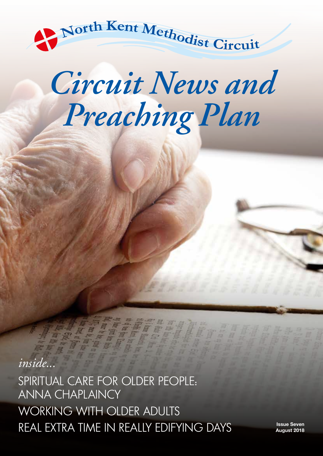

# *Circuit News and Preaching Plan*

*inside...* SPIRITUAL CARE FOR OLDER PEOPLE: ANNA CHAPLAINCY WORKING WITH OLDER ADULTS REAL EXTRA TIME IN REALLY EDIFYING DAYS **ISSUE Seven** 

**August 2018**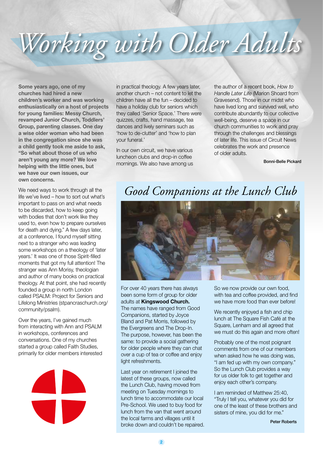# *Working with Older Adults*

**Some years ago, one of my churches had hired a new children's worker and was working enthusiastically on a host of projects for young families: Messy Church, revamped Junior Church, Toddlers' Group, parenting classes. One day a wise older woman who had been in the congregation since she was a child gently took me aside to ask, "So what about those of us who aren't young any more? We love helping with the little ones, but we have our own issues, our own concerns.** 

We need ways to work through all the life we've lived – how to sort out what's important to pass on and what needs to be discarded, how to keep going with bodies that don't work like they used to, even how to prepare ourselves for death and dying." A few days later, at a conference, I found myself sitting next to a stranger who was leading some workshops on a theology of 'later years.' It was one of those Spirit-filled moments that got my full attention! The stranger was Ann Morisy, theologian and author of many books on practical theology. At that point, she had recently founded a group in north London called PSALM: Project for Seniors and Lifelong Ministries (stpancraschurch.org/ community/psalm).

Over the years, I've gained much from interacting with Ann and PSALM in workshops, conferences and conversations. One of my churches started a group called Faith Studies, primarily for older members interested



in practical theology. A few years later, another church – not content to let the children have all the fun – decided to have a holiday club for seniors which they called 'Senior Space.' There were quizzes, crafts, hand massage, tea dances and lively seminars such as 'how to de-clutter' and 'how to plan your funeral.'

In our own circuit, we have various luncheon clubs and drop-in coffee mornings. We also have among us the author of a recent book, *How to Handle Later Life* (Marion Shoard from Gravesend). Those in our midst who have lived long and survived well, who contribute abundantly to our collective well-being, deserve a space in our church communities to work and pray through the challenges and blessings of later life. This issue of Circuit News celebrates the work and presence of older adults.

Bonni-Belle Pickard

### *Good Companions at the Lunch Club*



For over 40 years there has always been some form of group for older adults at **Kingswood Church.** The names have ranged from Good Companions, started by Joyce Bland and Pat Morris, followed by the Evergreens and The Drop-In. The purpose, however, has been the same: to provide a social gathering for older people where they can chat over a cup of tea or coffee and enjoy light refreshments.

Last year on retirement I joined the latest of these groups, now called the Lunch Club, having moved from meeting on Tuesday mornings to lunch time to accommodate our local Pre-School. We used to buy food for lunch from the van that went around the local farms and villages until it broke down and couldn't be repaired. So we now provide our own food, with tea and coffee provided, and find we have more food than ever before!

We recently enjoyed a fish and chip lunch at The Square Fish Café at the Square, Lenham and all agreed that we must do this again and more often!

Probably one of the most poignant comments from one of our members when asked how he was doing was, "I am fed up with my own company." So the Lunch Club provides a way for us older folk to get together and enjoy each other's company.

I am reminded of Matthew 25:40, "Truly I tell you, whatever you did for one of the least of these brothers and sisters of mine, you did for me."

Peter Roberts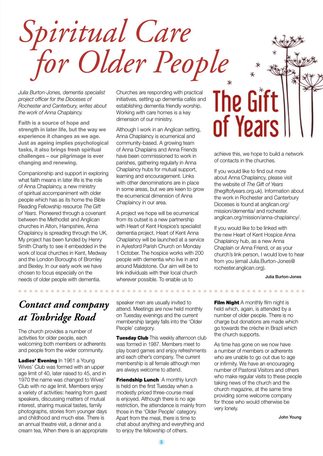*Spiritual Care for Older People*

*Julia Burton-Jones, dementia specialist project officer for the Dioceses of Rochester and Canterbury, writes about the work of Anna Chaplaincy.*

**Faith is a source of hope and strength in later life, but the way we experience it changes as we age. Just as ageing implies psychological tasks, it also brings fresh spiritual challenges – our pilgrimage is ever changing and renewing.**

Companionship and support in exploring what faith means in later life is the role of Anna Chaplaincy, a new ministry of spiritual accompaniment with older people which has as its home the Bible Reading Fellowship resource *The Gift of Years.* Pioneered through a covenant between the Methodist and Anglican churches in Alton, Hampshire, Anna Chaplaincy is spreading through the UK. My project has been funded by Henry Smith Charity to see it embedded in the work of local churches in Kent, Medway and the London Boroughs of Bromley and Bexley. In our early work we have chosen to focus especially on the needs of older people with dementia.

### *Contact and company at Tonbridge Road*

The church provides a number of activities for older people, each welcoming both members or adherents and people from the wider community.

Ladies' Evening In 1961 a Young Wives' Club was formed with an upper age limit of 40, later raised to 45, and in 1970 the name was changed to Wives' Club with no age limit. Members enjoy a variety of activities: hearing from guest speakers, discussing matters of mutual interest, sharing musical tastes, family photographs, stories from younger days and childhood and much else. There is an annual theatre visit, a dinner and a cream tea, When there is an appropriate Churches are responding with practical initiatives, setting up dementia cafés and establishing dementia friendly worship. Working with care homes is a key dimension of our ministry.

Although I work in an Anglican setting, Anna Chaplaincy is ecumenical and community-based. A growing team of Anna Chaplains and Anna Friends have been commissioned to work in parishes, gathering regularly in Anna Chaplaincy hubs for mutual support, learning and encouragement. Links with other denominations are in place in some areas, but we are keen to grow the ecumenical dimension of Anna Chaplaincy in our area.

A project we hope will be ecumenical from its outset is a new partnership with Heart of Kent Hospice's specialist dementia project. Heart of Kent Anna Chaplaincy will be launched at a service in Aylesford Parish Church on Monday 1 October. The hospice works with 200 people with dementia who live in and around Maidstone. Our aim will be to link individuals with their local church wherever possible. To enable us to

The Gift of Years

achieve this, we hope to build a network of contacts in the churches.

If you would like to find out more about Anna Chaplaincy, please visit the website of *The Gift of Years* (thegiftofyears.org.uk). Information about the work in Rochester and Canterbury Dioceses is found at anglican.org/ mission/dementia/ and rochester. anglican.org/mission/anna-chaplaincy/.

If you would like to be linked with the new Heart of Kent Hospice Anna Chaplaincy hub, as a new Anna Chaplain or Anna Friend, or as your church's link person, I would love to hear from you (email Julia.Burton-Jones@ rochester.anglican.org).

Julia Burton-Jones

speaker men are usually invited to attend. Meetings are now held monthly on Tuesday evenings and the current membership largely falls into the 'Older People' category.

**. . . . . . . . . . . . . . . .** 

**Tuesday Club** This weekly afternoon club was formed in 1987. Members meet to play board games and enjoy refreshments and each other's company. The current membership is all female although men are always welcome to attend.

**Friendship Lunch** A monthly lunch is held on the first Tuesday when a modestly priced three-course meal is enjoyed. Although there is no age restriction, the attendance is mainly from those in the 'Older People' category. Apart from the meal, there is time to chat about anything and everything and to enjoy the fellowship of others.

**Film Night** A monthly film night is held which, again, is attended by a number of older people. There is no charge but donations are made which go towards the crèche in Brazil which the church supports.

. . . . . . . . . . . . . . . . . .

As time has gone on we now have a number of members or adherents who are unable to go out due to age or infirmity. We have an encouraging number of Pastoral Visitors and others who make regular visits to these people taking news of the church and the church magazine, at the same time providing some welcome company for those who would otherwise be very lonely.

John Young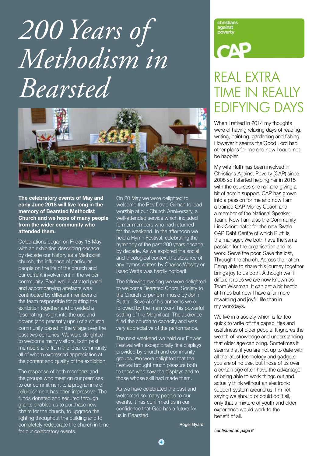## *200 Years of Methodism in Bearsted*



**The celebratory events of May and early June 2018 will live long in the memory of Bearsted Methodist Church and we hope of many people from the wider community who attended them.** 

Celebrations began on Friday 18 May with an exhibition describing decade by decade our history as a Methodist church, the influence of particular people on the life of the church and our current involvement in the wi der community. Each well illustrated panel and accompanying artefacts was contributed by different members of the team responsible for putting the exhibition together and provided a fascinating insight into the ups and downs (and presently ups!) of a church community based in the village over the past two centuries. We were delighted to welcome many visitors, both past members and from the local community, all of whom expressed appreciation at the content and quality of the exhibition.

The response of both members and the groups who meet on our premises to our commitment to a programme of refurbishment has been impressive. The funds donated and secured through grants enabled us to purchase new chairs for the church, to upgrade the lighting throughout the building and to completely redecorate the church in time for our celebratory events.

On 20 May we were delighted to welcome the Rev David Gilman to lead worship at our Church Anniversary, a well-attended service which included former members who had returned for the weekend. In the afternoon we held a Hymn Festival, celebrating the hymnody of the past 200 years decade by decade. As we explored the social and theological context the absence of any hymns written by Charles Wesley or Isaac Watts was hardly noticed!

The following evening we were delighted to welcome Bearsted Choral Society to the Church to perform music by John Rutter. Several of his anthems were followed by the main work, his powerful setting of the Magnificat. The audience filled the church to capacity and was very appreciative of the performance.

The next weekend we held our Flower Festival with exceptionally fine displays provided by church and community groups. We were delighted that the Festival brought much pleasure both to those who saw the displays and to those whose skill had made them.

As we have celebrated the past and welcomed so many people to our events, it has confirmed us in our confidence that God has a future for us in Bearsted.

Roger Byard

christians against<br>poverty

# $\mathsf{C}\mathsf{A}\mathsf{P}$

### REAL EXTRA TIME IN REALLY EDIFYING DAYS

When I retired in 2014 my thoughts were of having relaxing days of reading, writing, painting, gardening and fishing. However it seems the Good Lord had other plans for me and now I could not be happier.

My wife Ruth has been involved in Christians Against Poverty (CAP) since 2008 so I started helping her in 2015 with the courses she ran and giving a bit of admin support. CAP has grown into a passion for me and now I am a trained CAP Money Coach and a member of the National Speaker Team. Now I am also the Community Link Coordinator for the new Swale CAP Debt Centre of which Ruth is the manager. We both have the same passion for the organisation and its work: Serve the poor, Save the lost, Through the church, Across the nation. Being able to share this journey together brings joy to us both. Although we fill different roles we are now known as Team Wiseman. It can get a bit hectic at times but now I have a far more rewarding and joyful life than in my workdays.

We live in a society which is far too quick to write off the capabilities and usefulness of older people. It ignores the wealth of knowledge and understanding that older age can bring. Sometimes it seems that if you are not up to date with all the latest technology and gadgets you are of no use, but those of us over a certain age often have the advantage of being able to work things out and actually think without an electronic support system around us. I'm not saying we should or could do it all, only that a mixture of youth and older experience would work to the benefit of all.

*continued on page 6*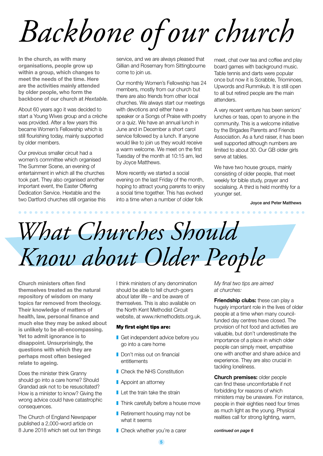# *Backbone of our church*

**In the church, as with many organisations, people grow up within a group, which changes to meet the needs of the time. Here are the activities mainly attended by older people, who form the backbone of our church at** *Hextable.*

About 60 years ago it was decided to start a Young Wives group and a crèche was provided. After a few years this became Women's Fellowship which is still flourishing today, mainly supported by older members.

Our previous smaller circuit had a women's committee which organised The Summer Scene, an evening of entertainment in which all the churches took part. They also organised another important event, the Easter Offering Dedication Service. Hextable and the two Dartford churches still organise this

. . . . . . . . . . . . . . . . . . .

service, and we are always pleased that Gillian and Rosemary from Sittingbourne come to join us.

Our monthly Women's Fellowship has 24 members, mostly from our church but there are also friends from other local churches. We always start our meetings with devotions and either have a speaker or a Songs of Praise with poetry or a quiz. We have an annual lunch in June and in December a short carol service followed by a lunch. If anyone would like to join us they would receive a warm welcome. We meet on the first Tuesday of the month at 10:15 am, led by Joyce Matthews.

More recently we started a social evening on the last Friday of the month, hoping to attract young parents to enjoy a social time together. This has evolved into a time when a number of older folk

meet, chat over tea and coffee and play board games with background music. Table tennis and darts were popular once but now it is Scrabble, Triominoes, Upwords and Rummikub. It is still open to all but retired people are the main attenders.

A very recent venture has been seniors' lunches or teas, open to anyone in the community. This is a welcome initiative by the Brigades Parents and Friends Association. As a fund raiser, it has been well supported although numbers are limited to about 30. Our GB older girls serve at tables.

We have two house groups, mainly consisting of older people, that meet weekly for bible study, prayer and socialising. A third is held monthly for a younger set.

Joyce and Peter Matthews

*<u><b>AAAAAA</u>*</u>

## *What Churches Should Know about Older People*

. . . . . .

**Church ministers often find themselves treated as the natural repository of wisdom on many topics far removed from theology. Their knowledge of matters of health, law, personal finance and much else they may be asked about is unlikely to be all-encompassing.**  Yet to admit ignorance is to **disappoint. Unsurprisingly, the questions with which they are perhaps most often besieged relate to ageing.** 

Does the minister think Granny should go into a care home? Should Grandad ask not to be resuscitated? How is a minister to know? Giving the wrong advice could have catastrophic consequences.

The Church of England Newspaper published a 2,000-word article on 8 June 2018 which set out ten things I think ministers of any denomination should be able to tell church-goers about later life – and be aware of themselves. This is also available on the North Kent Methodist Circuit website, at www.nkmethodists.org.uk.

#### My first eight tips are:

- Get independent advice before you go into a care home
- Don't miss out on financial entitlements
- Check the NHS Constitution
- **Appoint an attorney**
- $\blacksquare$  Let the train take the strain
- **Think carefully before a house move**
- $\blacksquare$  Retirement housing may not be what it seems
- Check whether you're a carer

*My final two tips are aimed at churches:*

**Friendship clubs:** these can play a hugely important role in the lives of older people at a time when many councilfunded day centres have closed. The provision of hot food and activities are valuable, but don't underestimate the importance of a place in which older people can simply meet, empathise one with another and share advice and experience. They are also crucial in tackling loneliness.

**Church premises:** older people can find these uncomfortable if not forbidding for reasons of which ministers may be unaware. For instance, people in their eighties need four times as much light as the young. Physical realities call for strong lighting, warm,

*continued on page 6*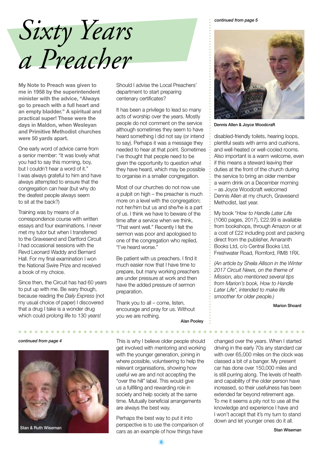*continued from page 5*

## *Sixty Years a Preacher*

**My Note to Preach was given to me in 1958 by the superintendent minister with the advice, "Always go to preach with a full heart and an empty bladder." A spiritual and practical super! These were the days in Maldon, when Wesleyan and Primitive Methodist churches were 50 yards apart.**

One early word of advice came from a senior member: "It was lovely what you had to say this morning, boy, but I couldn't hear a word of it." I was always grateful to him and have always attempted to ensure that the congregation can hear (but why do the deafest people always seem to sit at the back?)

Training was by means of a correspondence course with written essays and four examinations. I never met my tutor but when I transferred to the Gravesend and Dartford Circuit I had occasional sessions with the Revd Leonard Waddy and Bernard Hall. For my final examination I won the National Swire Prize and received a book of my choice.

Since then, the Circuit has had 60 years to put up with me. Be wary though, because reading the *Daily Express* (not my usual choice of paper) I discovered that a drug I take is a wonder drug which could prolong life to 130 years!



Should I advise the Local Preachers' department to start preparing centenary certificates?

It has been a privilege to lead so many acts of worship over the years. Mostly people do not comment on the service although sometimes they seem to have heard something I did not say (or intend to say). Perhaps it was a message they needed to hear at that point. Sometimes I've thought that people need to be given the opportunity to question what they have heard, which may be possible to organise in a smaller congregation.

Most of our churches do not now use a pulpit on high – the preacher is much more on a level with the congregation; not her/him but us and she/he is a part of us. I think we have to beware of the time after a service when we think, "That went well." Recently I felt the sermon was poor and apologised to one of the congregation who replied, "I've heard worse."

Be patient with us preachers. I find it much easier now that I have time to prepare, but many working preachers are under pressure at work and then have the added pressure of sermon preparation.

Thank you to all – come, listen, encourage and pray for us. Without you we are nothing.

Dennis Allen & Joyce Woodcraft

disabled-friendly toilets, hearing loops, plentiful seats with arms and cushions, and well-heated or well-cooled rooms. Also important is a warm welcome, even if this means a steward leaving their duties at the front of the church during the service to bring an older member a warm drink on a December morning – as Joyce Woodcraft welcomed Dennis Allen at my church, Gravesend Methodist, last year.

My book \**How to Handle Later Life* (1060 pages, 2017), £22.99 is available from bookshops, through Amazon or at a cost of £22 including post and packing direct from the publisher, Amaranth Books Ltd, c/o Central Books Ltd, Freshwater Road, Romford, RM8 1RX.

*(An article by Sheila Allison in the Winter 2017 Circuit News, on the theme of Mission, also mentioned several tips from Marion's book, How to Handle Later Life\*, intended to make life smoother for older people.)* 

Marion Shoard

Alan Pooley

**continued from page 4 continued from page 4** continued over the years. When I started get involved with mentoring and working with the younger generation, joining in where possible, volunteering to help the relevant organisations, showing how useful we are and not accepting the "over the hill" label. This would give us a fulfilling and rewarding role in society and help society at the same time. Mutually beneficial arrangements are always the best way.

Perhaps the best way to put it into perspective is to use the comparison of Stan & Ruth Wiseman **Stan Wiseman Stan Wiseman Stan Wiseman Stan Wiseman Stan Wiseman Stan Wiseman Stan Wiseman** 

driving in the early 70s any standard car with over 65,000 miles on the clock was classed a bit of a banger. My present car has done over 150,000 miles and is still purring along. The levels of health and capability of the older person have increased, so their usefulness has been extended far beyond retirement age. To me it seems a pity not to use all the knowledge and experience I have and I won't accept that it's my turn to stand down and let younger ones do it all.

. . . . . . . . . . .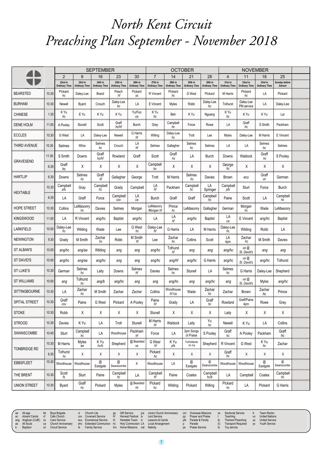#### $\mathcal{L}$ SEPTEMBER OCTOBER NOVEMBER ceaching Plan September November 2018 Preaching Plan September - November 2018 *North Kent Circuit*

| 41                   |       | <b>SEPTEMBER</b>                |                                 |                                 |                                 |                                 | <b>OCTOBER</b>                  |                                 |                                 |                                 | <b>NOVEMBER</b>                 |                                 |                                 |                         |  |
|----------------------|-------|---------------------------------|---------------------------------|---------------------------------|---------------------------------|---------------------------------|---------------------------------|---------------------------------|---------------------------------|---------------------------------|---------------------------------|---------------------------------|---------------------------------|-------------------------|--|
|                      |       | $\overline{2}$                  | 9                               | 16                              | 23                              | 30                              | $\overline{7}$                  | 14                              | 21                              | 28                              | $\overline{4}$                  | 11                              | 18                              | 25                      |  |
|                      |       | 22nd in<br><b>Ordinary Time</b> | 23rd in<br><b>Ordinary Time</b> | 24th in<br><b>Ordinary Time</b> | 25th in<br><b>Ordinary Time</b> | 26th in<br><b>Ordinary Time</b> | 27th in<br><b>Ordinary Time</b> | 28th in<br><b>Ordinary Time</b> | 29th in<br><b>Ordinary Time</b> | 30th in<br><b>Ordinary Time</b> | 31st in<br><b>Ordinary Time</b> | 32nd in<br><b>Ordinary Time</b> | 33rd in<br><b>Ordinary Time</b> | Sunday before<br>Advent |  |
| <b>BEARSTED</b>      | 10.30 | Plckard<br>hc                   | Daley-Lee                       | Brand                           | Peach<br>hf                     | Pickard<br>SS                   | R Vincent                       | Plckard<br>hc                   | G West                          | Plckard                         | M Harris                        | Plckard<br>hc                   | LA                              | Plckard                 |  |
| <b>BURHAM</b>        | 10.30 | Newell                          | Byard                           | Crouch                          | Daley-Lee<br>hc                 | LA                              | E Vincent                       | Myles                           | Robb                            | Daley-Lee<br>hc                 | Tolhurst                        | Daley-Lee<br>PM service         | LA                              | Daley-Lee               |  |
| <b>CHINESE</b>       | 1.30  | K Yu<br>hc                      | E Yu                            | K Yu                            | K Yu                            | Yu/Foo<br>ca                    | K Yu<br>hc                      | Beh                             | K Yu                            | Nguang                          | K Yu<br>hc                      | K Yu                            | K Yu                            | Lai                     |  |
| <b>DENE HOLM</b>     | 11.00 | A Pooley                        | Stunell                         | Scott                           | Graff<br>hc/hf                  | <b>Burch</b>                    | Gray                            | Campbell<br>hc                  | Force                           | Rowe                            | LA                              | Graff<br>hc                     | S Smith                         | Packham                 |  |
| <b>ECCLES</b>        | 10.30 | G West                          | LA                              | Daley-Lee                       | Newell                          | G Harris<br>hf                  | Willing                         | Daley-Lee<br>hc                 | Trott                           | Lee                             | Myles                           | Daley-Lee                       | M Harris                        | E Vincent               |  |
| THIRD AVENUE         | 10.30 | Selmes                          | Wilce                           | Selmes<br>hc                    | Crouch                          | LA<br>hf                        | Selmes                          | Gallagher                       | Selmes<br>hc                    | Selmes                          | LA                              | LA                              | Selmes<br>hc                    | Selmes                  |  |
| <b>GRAVESEND</b>     | 11.00 | S Smith                         | Downs                           | Graff<br>hc/hf                  | Rowland                         | Graff                           | Scott                           | Graff<br>hc                     | LA                              | Burch                           | Downs                           | Waldock                         | Graff<br>hc                     | S Pooley                |  |
|                      | 6.30  | Graff<br>hc                     | Χ                               | Χ                               | Χ                               | Χ                               | Campbell<br>hc                  | Χ                               | Χ                               | Χ                               | George<br>hc                    | Χ                               | Χ                               | Χ                       |  |
| <b>HARTLIP</b>       | 6.30  | Downs                           | Selmes<br>hc                    | Graff<br>hf                     | Gallagher                       | George                          | Trott                           | M Harris                        | Selmes<br>hc                    | Davies                          | Brown                           | ecu                             | Graff<br>cir                    | German                  |  |
| <b>HEXTABLE</b>      | 10.30 | Campbell<br>pfs                 | Gray                            | Campbell<br>hc                  | Grady                           | Campbell                        | LA<br>hf                        | Packham                         | Campbell<br>hc                  | LA<br>Springer                  | Campbell<br>pfs                 | Sturt                           | Force                           | <b>Burch</b>            |  |
|                      | 6.30  | LA                              | Graff                           | Force                           | Campbell<br>cov                 | LA<br>ca                        | <b>Burch</b>                    | Graff                           | Graff                           | Campbell<br>hc                  | Paine                           | Scott                           | LA                              | Campbell<br>hc          |  |
| <b>HOPE STREET</b>   | 10.30 | Collins                         | LeMasonry<br>hc                 | Davies                          | Selmes                          | Morgan                          | LeMasonry<br>Morgan hf          | Prince<br>hc                    | LeMasonry                       | Gallagher                       | German                          | Morgan<br>hc                    | Wade                            | LeMasonry               |  |
| <b>KINGSWOOD</b>     | 11.00 | LA                              | R Vincent                       | ang/hc                          | <b>Baptist</b>                  | ang/hc                          | LA                              | LA<br>hf                        | ang/hc                          | <b>Baptist</b>                  | LA<br>ca                        | E Vincent                       | ang/hc                          | <b>Baptist</b>          |  |
| <b>LARKFIELD</b>     | 10.00 | Daley-Lee<br>hc                 | Wilding                         | Wade                            | Lee                             | G West<br>hc                    | Daley-Lee<br>ĥf                 | G Harris                        | LA                              | M Harris                        | Daley-Lee<br>ĥс                 | Wilding                         | Robb                            | LA                      |  |
| <b>NEWINGTON</b>     | 9.30  | Grady                           | M Smith                         | Zachar<br>hc                    | Robb                            | M Smith<br>hf                   | Lee                             | Zachar<br>hc                    | Collins                         | Scott                           | LA<br>4pm                       | Zachar<br>hc                    | M Smith                         | Davies                  |  |
| <b>ST ALBAN'S</b>    | 10.00 | ang/hc                          | ang/aa                          | Wilding                         | ang                             | ang                             | ang/hc                          | Tolhurst<br>hf                  | ang                             | ang                             | ang/hc                          | us @<br>St. David's             | ang                             | ang                     |  |
| ST DAVID'S           | 10.00 | ang/hc                          | ang/aa                          | ang/hc                          | ang                             | ang                             | ang/hc                          | ang/hf                          | ang/hc                          | G Harris                        | ang/hc                          | us@<br>St. David's              | ang/hc                          | Tolhurst                |  |
| <b>ST LUKE'S</b>     | 10.30 | German                          | Selmes<br>hc                    | Laity                           | Downs                           | Selmes<br>hf                    | Davies                          | Selmes<br>hc                    | Stunell                         | LA                              | Selmes<br>hc                    | G Harris                        | Daley-Lee                       | Shepherd                |  |
| <b>ST WILLIAMS</b>   | 10.00 | ang                             | Tolhurst<br>hc                  | ang/b                           | ang/hc                          | ang                             | ang                             | ang/hc                          | ang                             | ang/hc                          | ang                             | us @<br>St. David's             | Myles                           | ang/hc                  |  |
| <b>SITTINGBOURNE</b> | 10.30 | LA                              | Zachar<br>hc                    | M Smith                         | Zachar                          | Zachar                          | Collins                         | Woodhouse<br>hf /ca             | Wade                            | Zachar<br>hc                    | Zachar                          | <b>Brown</b>                    | Zachar<br>hc                    | Prince                  |  |
| <b>SPITAL STREET</b> | 10.30 | Graff<br>cov                    | Paine                           | G West                          | Plckard                         | A Pooley                        | Paine<br>hf                     | Grady                           | LA                              | Graff<br>hc                     | Rowland                         | Graff/Paine<br>4pm              | Rowe                            | Gray                    |  |
| <b>STOKE</b>         | 10.30 | Robb                            | Χ                               | Χ                               | Χ                               | Χ                               | Stunell                         | Χ                               | Χ                               | Χ                               | Laity                           | Χ                               | Χ                               | Χ                       |  |
| <b>STROOD</b>        | 10.30 | Davies                          | K Yu                            | LA                              | Trott                           | Stunell                         | M Harris<br>hf                  | Waldock                         | Laity                           | Yu<br>hc                        | Newell                          | K Yu                            | LA                              | Collins                 |  |
| SWANSCOMBE           | 10.45 | Sturt                           | Campbell<br>hc                  | LA                              | Woodhouse                       | Packham<br>hf                   | Force                           | LA                              | 3pm Songs<br>of Praise          | S Pooley                        | Graff<br>hc                     | A Pooley                        | Packham                         | Graff<br>hc             |  |
| <b>TONBRIDGE RD</b>  | 10.30 | M Harris                        | Myles<br>aa                     | K Yu<br>hc/b                    | Shepherd                        | @ Bearsted<br>SS                | G West<br>hf                    | K Yu<br>pfs                     | Yu/Hollands<br>hc/ca            | Shepherd                        | R Vincent                       | G West                          | K Yu<br>hc                      | Zachar                  |  |
|                      | 6.30  | Tolhurst<br>hc                  | X                               | Χ                               | X                               | X                               | Pickard<br>hc                   | X                               | X                               | Χ                               | Graff<br>hc                     | X                               | X                               | Χ                       |  |
| <b>EBBSFLEET</b>     | 10.30 | Woodhouse                       | Woodhouse                       | @<br>Eastgate                   | @<br>Swanscombe                 | Χ                               | Woodhouse                       | LA                              | @<br>Eastgate                   | @<br>Swanscombe                 | Woodhouse                       | Woodhouse                       | @<br>Eastgate                   | @<br>Swanscombe         |  |
| THE BRENT            | 10.30 | Scott<br>fs                     | Sturt                           | Paine                           | Campbell<br>hc                  | LA                              | Campbell<br>hf                  | Paine                           | Coates                          | Campbell<br>hc/b                | LA                              | Campbell                        | Coates                          | Campbell<br>hc          |  |
| <b>UNION STREET</b>  | 10.30 | Byard                           | Graff<br>hc                     | Pickard                         | Myles                           | @ Bearsted<br>SS                | Plckard<br>hc                   | Wilding                         | Plckard                         | Willing                         | Plckard<br>hc                   | LA                              | Plckard                         | G Harris                |  |